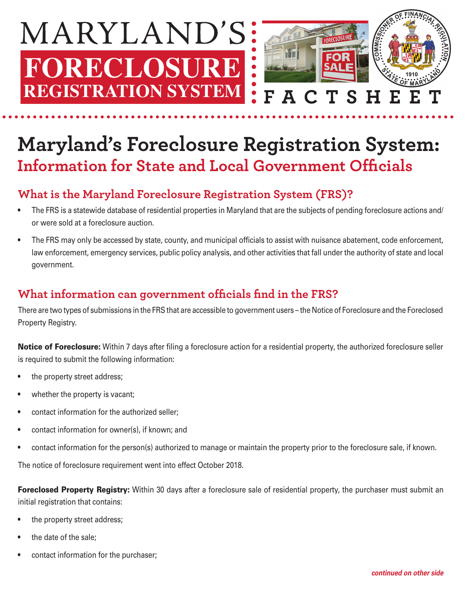

# **Maryland's Foreclosure Registration System: Information for State and Local Government Officials**

### **What is the Maryland Foreclosure Registration System (FRS)?**

- The FRS is a statewide database of residential properties in Maryland that are the subjects of pending foreclosure actions and/ or were sold at a foreclosure auction.
- The FRS may only be accessed by state, county, and municipal officials to assist with nuisance abatement, code enforcement, law enforcement, emergency services, public policy analysis, and other activities that fall under the authority of state and local government.

#### What information can government officials find in the FRS?

There are two types of submissions in the FRS that are accessible to government users – the Notice of Foreclosure and the Foreclosed Property Registry.

Notice of Foreclosure: Within 7 days after filing a foreclosure action for a residential property, the authorized foreclosure seller is required to submit the following information:

- the property street address;
- whether the property is vacant;
- contact information for the authorized seller;
- contact information for owner(s), if known; and
- contact information for the person(s) authorized to manage or maintain the property prior to the foreclosure sale, if known.

The notice of foreclosure requirement went into effect October 2018.

**Foreclosed Property Registry:** Within 30 days after a foreclosure sale of residential property, the purchaser must submit an initial registration that contains:

- the property street address;
- the date of the sale;
- contact information for the purchaser;